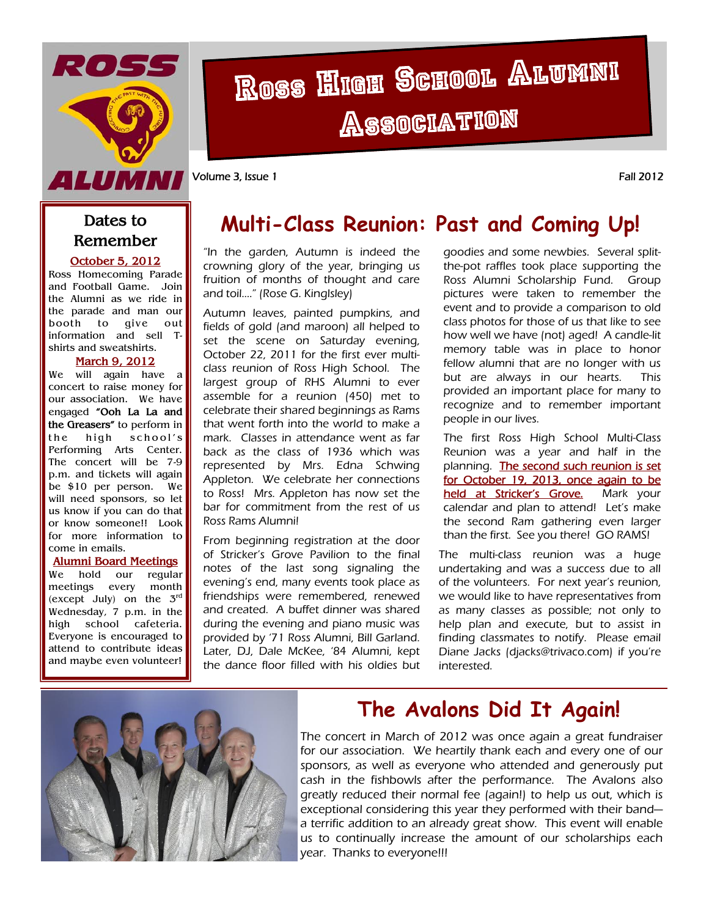

# Ross High School Alumni **Association**

Volume 3, Issue 1 Fall 2012

#### **Dates to Remember**

**October 5, 2012** Ross Homecoming Parade and Football Game. Join the Alumni as we ride in the parade and man our booth to give out information and sell Tshirts and sweatshirts.

#### **March 9, 2012**

We will again have a concert to raise money for our association. We have engaged **"Ooh La La and the Greasers"** to perform in the high school's Performing Arts Center. The concert will be 7-9 p.m. and tickets will again be \$10 per person. We will need sponsors, so let us know if you can do that or know someone!! Look for more information to come in emails.

#### **Alumni Board Meetings**

We hold our regular meetings every month (except July) on the  $3<sup>rd</sup>$ Wednesday, 7 p.m. in the high school cafeteria. Everyone is encouraged to attend to contribute ideas and maybe even volunteer!

# **Multi-Class Reunion: Past and Coming Up!**

"In the garden, Autumn is indeed the crowning glory of the year, bringing us fruition of months of thought and care and toil…." (Rose G. Kinglsley)

Autumn leaves, painted pumpkins, and fields of gold (and maroon) all helped to set the scene on Saturday evening, October 22, 2011 for the first ever multiclass reunion of Ross High School. The largest group of RHS Alumni to ever assemble for a reunion (450) met to celebrate their shared beginnings as Rams that went forth into the world to make a mark. Classes in attendance went as far back as the class of 1936 which was represented by Mrs. Edna Schwing Appleton. We celebrate her connections to Ross! Mrs. Appleton has now set the bar for commitment from the rest of us Ross Rams Alumni!

From beginning registration at the door of Stricker's Grove Pavilion to the final notes of the last song signaling the evening's end, many events took place as friendships were remembered, renewed and created. A buffet dinner was shared during the evening and piano music was provided by '71 Ross Alumni, Bill Garland. Later, DJ, Dale McKee, '84 Alumni, kept the dance floor filled with his oldies but

goodies and some newbies. Several splitthe-pot raffles took place supporting the Ross Alumni Scholarship Fund. Group pictures were taken to remember the event and to provide a comparison to old class photos for those of us that like to see how well we have (not) aged! A candle-lit memory table was in place to honor fellow alumni that are no longer with us but are always in our hearts. This provided an important place for many to recognize and to remember important people in our lives.

The first Ross High School Multi-Class Reunion was a year and half in the planning. The second such reunion is set for October 19, 2013, once again to be held at Stricker's Grove. Mark your calendar and plan to attend! Let's make the second Ram gathering even larger than the first. See you there! GO RAMS!

The multi-class reunion was a huge undertaking and was a success due to all of the volunteers. For next year's reunion, we would like to have representatives from as many classes as possible; not only to help plan and execute, but to assist in finding classmates to notify. Please email Diane Jacks (djacks@trivaco.com) if you're interested.



## **The Avalons Did It Again!**

The concert in March of 2012 was once again a great fundraiser for our association. We heartily thank each and every one of our sponsors, as well as everyone who attended and generously put cash in the fishbowls after the performance. The Avalons also greatly reduced their normal fee (again!) to help us out, which is exceptional considering this year they performed with their band a terrific addition to an already great show. This event will enable us to continually increase the amount of our scholarships each year. Thanks to everyone!!!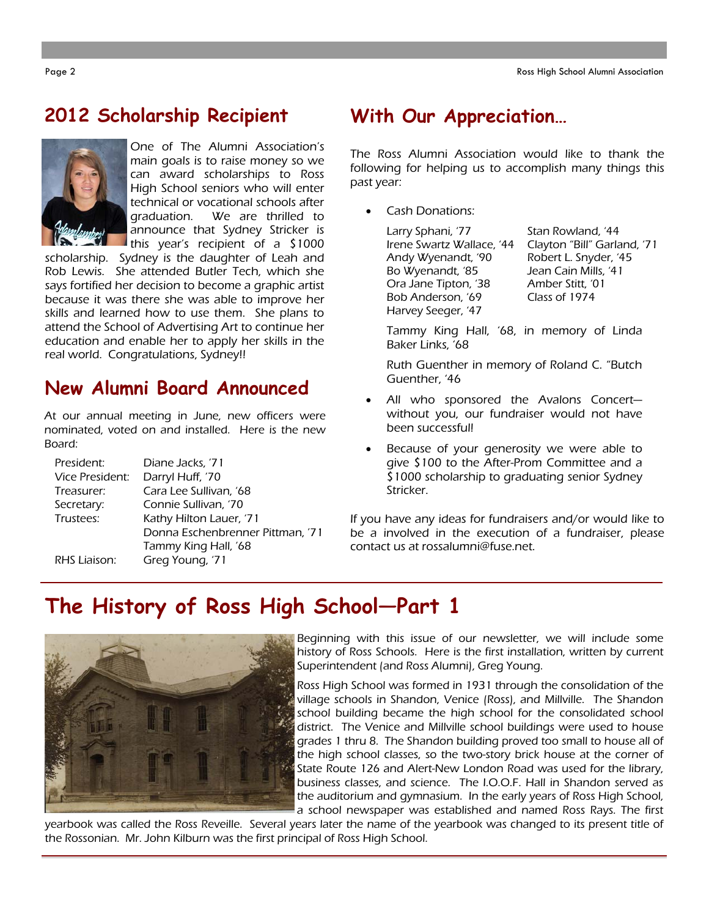### **2012 Scholarship Recipient**



One of The Alumni Association's main goals is to raise money so we can award scholarships to Ross High School seniors who will enter technical or vocational schools after graduation. We are thrilled to announce that Sydney Stricker is this year's recipient of a \$1000

scholarship. Sydney is the daughter of Leah and Rob Lewis. She attended Butler Tech, which she says fortified her decision to become a graphic artist because it was there she was able to improve her skills and learned how to use them. She plans to attend the School of Advertising Art to continue her education and enable her to apply her skills in the real world. Congratulations, Sydney!!

## **New Alumni Board Announced**

At our annual meeting in June, new officers were nominated, voted on and installed. Here is the new Board:

| President:      | Diane Jacks, '71                 |  |  |
|-----------------|----------------------------------|--|--|
| Vice President: | Darryl Huff, '70                 |  |  |
| Treasurer:      | Cara Lee Sullivan, '68           |  |  |
| Secretary:      | Connie Sullivan, '70             |  |  |
| Trustees:       | Kathy Hilton Lauer, '71          |  |  |
|                 | Donna Eschenbrenner Pittman, '71 |  |  |
|                 | Tammy King Hall, '68             |  |  |
| RHS Liaison:    | Greg Young, '71                  |  |  |

### **With Our Appreciation…**

The Ross Alumni Association would like to thank the following for helping us to accomplish many things this past year:

Cash Donations:

Larry Sphani, '77 Stan Rowland, '44 Andy Wyenandt, '90 Robert L. Snyder, '45 Bo Wyenandt, '85 Jean Cain Mills, '41 Ora Jane Tipton, '38 Amber Stitt, '01 Bob Anderson, '69 Class of 1974 Harvey Seeger, '47

Irene Swartz Wallace, '44 Clayton "Bill" Garland, '71

Tammy King Hall, '68, in memory of Linda Baker Links, '68

Ruth Guenther in memory of Roland C. "Butch Guenther, '46

- All who sponsored the Avalons Concert without you, our fundraiser would not have been successful!
- Because of your generosity we were able to give \$100 to the After-Prom Committee and a \$1000 scholarship to graduating senior Sydney Stricker.

If you have any ideas for fundraisers and/or would like to be a involved in the execution of a fundraiser, please contact us at rossalumni@fuse.net.

# **The History of Ross High School—Part 1**



Beginning with this issue of our newsletter, we will include some history of Ross Schools. Here is the first installation, written by current Superintendent (and Ross Alumni), Greg Young.

Ross High School was formed in 1931 through the consolidation of the village schools in Shandon, Venice (Ross), and Millville. The Shandon school building became the high school for the consolidated school district. The Venice and Millville school buildings were used to house grades 1 thru 8. The Shandon building proved too small to house all of the high school classes, so the two-story brick house at the corner of State Route 126 and Alert-New London Road was used for the library, business classes, and science. The I.O.O.F. Hall in Shandon served as the auditorium and gymnasium. In the early years of Ross High School, a school newspaper was established and named Ross Rays. The first

yearbook was called the Ross Reveille. Several years later the name of the yearbook was changed to its present title of the Rossonian. Mr. John Kilburn was the first principal of Ross High School.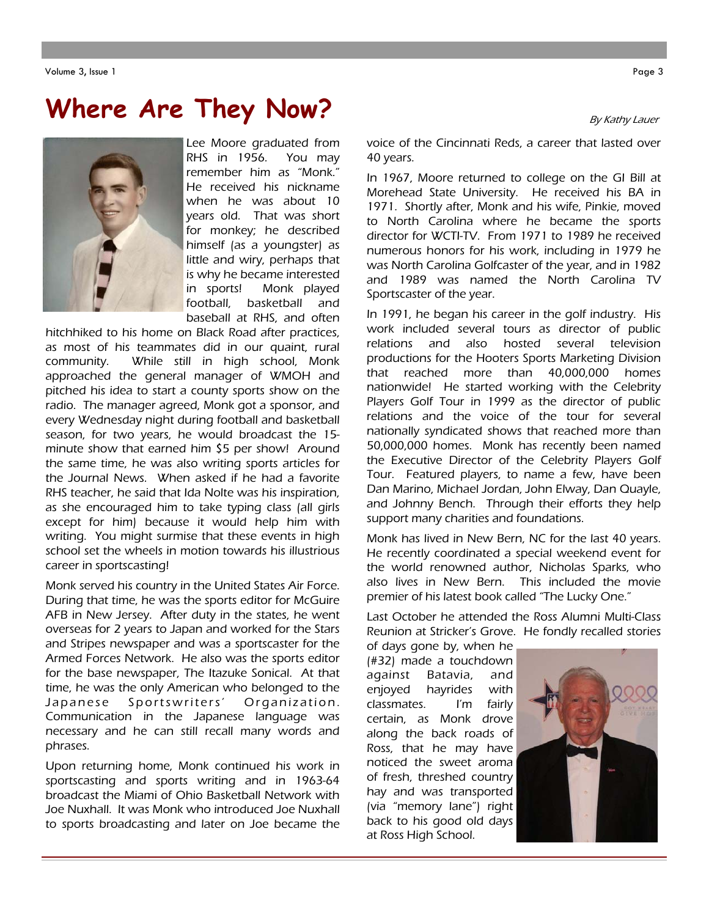#### Volume 3, Issue 1 Page 3

# **Where Are They Now?**



Lee Moore graduated from RHS in 1956. You may remember him as "Monk." He received his nickname when he was about 10 years old. That was short for monkey; he described himself (as a youngster) as little and wiry, perhaps that is why he became interested in sports! Monk played football, basketball and baseball at RHS, and often

hitchhiked to his home on Black Road after practices, as most of his teammates did in our quaint, rural community. While still in high school, Monk approached the general manager of WMOH and pitched his idea to start a county sports show on the radio. The manager agreed, Monk got a sponsor, and every Wednesday night during football and basketball season, for two years, he would broadcast the 15 minute show that earned him \$5 per show! Around the same time, he was also writing sports articles for the Journal News. When asked if he had a favorite RHS teacher, he said that Ida Nolte was his inspiration, as she encouraged him to take typing class (all girls except for him) because it would help him with writing. You might surmise that these events in high school set the wheels in motion towards his illustrious career in sportscasting!

Monk served his country in the United States Air Force. During that time, he was the sports editor for McGuire AFB in New Jersey. After duty in the states, he went overseas for 2 years to Japan and worked for the Stars and Stripes newspaper and was a sportscaster for the Armed Forces Network. He also was the sports editor for the base newspaper, The Itazuke Sonical. At that time, he was the only American who belonged to the Japanese Sportswriters' Organization. Communication in the Japanese language was necessary and he can still recall many words and phrases.

Upon returning home, Monk continued his work in sportscasting and sports writing and in 1963-64 broadcast the Miami of Ohio Basketball Network with Joe Nuxhall. It was Monk who introduced Joe Nuxhall to sports broadcasting and later on Joe became the

By Kathy Lauer

voice of the Cincinnati Reds, a career that lasted over 40 years.

In 1967, Moore returned to college on the GI Bill at Morehead State University. He received his BA in 1971. Shortly after, Monk and his wife, Pinkie, moved to North Carolina where he became the sports director for WCTI-TV. From 1971 to 1989 he received numerous honors for his work, including in 1979 he was North Carolina Golfcaster of the year, and in 1982 and 1989 was named the North Carolina TV Sportscaster of the year.

In 1991, he began his career in the golf industry. His work included several tours as director of public relations and also hosted several television productions for the Hooters Sports Marketing Division that reached more than 40,000,000 homes nationwide! He started working with the Celebrity Players Golf Tour in 1999 as the director of public relations and the voice of the tour for several nationally syndicated shows that reached more than 50,000,000 homes. Monk has recently been named the Executive Director of the Celebrity Players Golf Tour. Featured players, to name a few, have been Dan Marino, Michael Jordan, John Elway, Dan Quayle, and Johnny Bench. Through their efforts they help support many charities and foundations.

Monk has lived in New Bern, NC for the last 40 years. He recently coordinated a special weekend event for the world renowned author, Nicholas Sparks, who also lives in New Bern. This included the movie premier of his latest book called "The Lucky One."

Last October he attended the Ross Alumni Multi-Class Reunion at Stricker's Grove. He fondly recalled stories

of days gone by, when he (#32) made a touchdown against Batavia, and enjoyed hayrides with classmates. I'm fairly certain, as Monk drove along the back roads of Ross, that he may have noticed the sweet aroma of fresh, threshed country hay and was transported (via "memory lane") right back to his good old days at Ross High School.